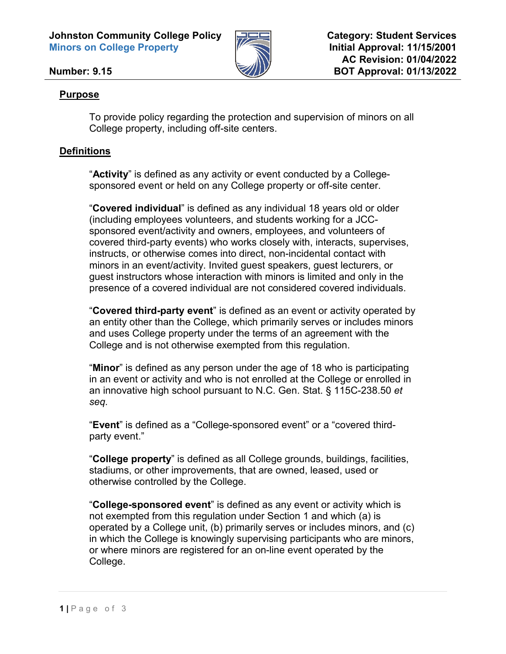**Johnston Community College Policy Minors on College Property**



**Category: Student Services Initial Approval: 11/15/2001 AC Revision: 01/04/2022 BOT Approval: 01/13/2022**

### **Number: 9.15**

### **Purpose**

To provide policy regarding the protection and supervision of minors on all College property, including off-site centers.

## **Definitions**

"**Activity**" is defined as any activity or event conducted by a Collegesponsored event or held on any College property or off-site center.

"**Covered individual**" is defined as any individual 18 years old or older (including employees volunteers, and students working for a JCCsponsored event/activity and owners, employees, and volunteers of covered third-party events) who works closely with, interacts, supervises, instructs, or otherwise comes into direct, non-incidental contact with minors in an event/activity. Invited guest speakers, guest lecturers, or guest instructors whose interaction with minors is limited and only in the presence of a covered individual are not considered covered individuals.

"**Covered third-party event**" is defined as an event or activity operated by an entity other than the College, which primarily serves or includes minors and uses College property under the terms of an agreement with the College and is not otherwise exempted from this regulation.

"**Minor**" is defined as any person under the age of 18 who is participating in an event or activity and who is not enrolled at the College or enrolled in an innovative high school pursuant to N.C. Gen. Stat. § 115C-238.50 *et seq.*

"**Event**" is defined as a "College-sponsored event" or a "covered thirdparty event."

"**College property**" is defined as all College grounds, buildings, facilities, stadiums, or other improvements, that are owned, leased, used or otherwise controlled by the College.

"**College-sponsored event**" is defined as any event or activity which is not exempted from this regulation under Section 1 and which (a) is operated by a College unit, (b) primarily serves or includes minors, and (c) in which the College is knowingly supervising participants who are minors, or where minors are registered for an on-line event operated by the College.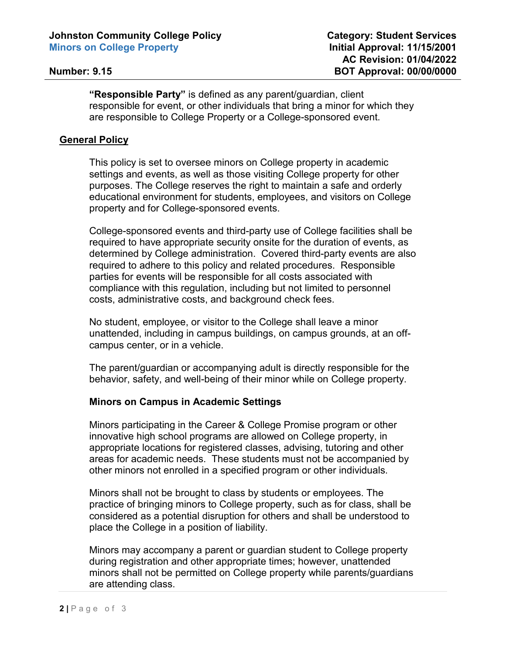**"Responsible Party"** is defined as any parent/guardian, client responsible for event, or other individuals that bring a minor for which they are responsible to College Property or a College-sponsored event.

### **General Policy**

This policy is set to oversee minors on College property in academic settings and events, as well as those visiting College property for other purposes. The College reserves the right to maintain a safe and orderly educational environment for students, employees, and visitors on College property and for College-sponsored events.

College-sponsored events and third-party use of College facilities shall be required to have appropriate security onsite for the duration of events, as determined by College administration. Covered third-party events are also required to adhere to this policy and related procedures. Responsible parties for events will be responsible for all costs associated with compliance with this regulation, including but not limited to personnel costs, administrative costs, and background check fees.

No student, employee, or visitor to the College shall leave a minor unattended, including in campus buildings, on campus grounds, at an offcampus center, or in a vehicle.

The parent/guardian or accompanying adult is directly responsible for the behavior, safety, and well-being of their minor while on College property.

#### **Minors on Campus in Academic Settings**

Minors participating in the Career & College Promise program or other innovative high school programs are allowed on College property, in appropriate locations for registered classes, advising, tutoring and other areas for academic needs. These students must not be accompanied by other minors not enrolled in a specified program or other individuals.

Minors shall not be brought to class by students or employees. The practice of bringing minors to College property, such as for class, shall be considered as a potential disruption for others and shall be understood to place the College in a position of liability.

Minors may accompany a parent or guardian student to College property during registration and other appropriate times; however, unattended minors shall not be permitted on College property while parents/guardians are attending class.